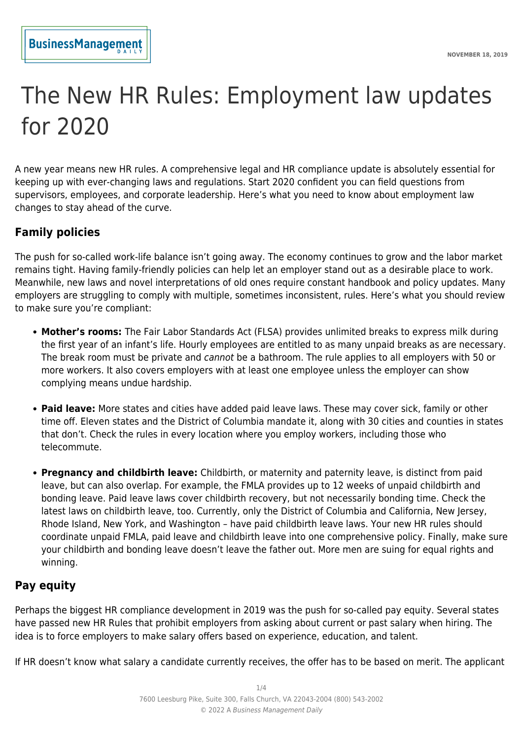# The New HR Rules: Employment law updates for 2020

A new year means new HR rules. A comprehensive legal and HR compliance update is absolutely essential for keeping up with ever-changing laws and regulations. Start 2020 confident you can field questions from supervisors, employees, and corporate leadership. Here's what you need to know about employment law changes to stay ahead of the curve.

# **Family policies**

The push for so-called work-life balance isn't going away. The economy continues to grow and the labor market remains tight. Having family-friendly policies can help let an employer stand out as a desirable place to work. Meanwhile, new laws and novel interpretations of old ones require constant handbook and policy updates. Many employers are struggling to comply with multiple, sometimes inconsistent, rules. Here's what you should review to make sure you're compliant:

- **Mother's rooms:** The Fair Labor Standards Act (FLSA) provides unlimited breaks to express milk during the first year of an infant's life. Hourly employees are entitled to as many unpaid breaks as are necessary. The break room must be private and cannot be a bathroom. The rule applies to all employers with 50 or more workers. It also covers employers with at least one employee unless the employer can show complying means undue hardship.
- **Paid leave:** More states and cities have added paid leave laws. These may cover sick, family or other time off. Eleven states and the District of Columbia mandate it, along with 30 cities and counties in states that don't. Check the rules in every location where you employ workers, including those who telecommute.
- **Pregnancy and childbirth leave:** Childbirth, or maternity and paternity leave, is distinct from paid leave, but can also overlap. For example, the FMLA provides up to 12 weeks of unpaid childbirth and bonding leave. Paid leave laws cover childbirth recovery, but not necessarily bonding time. Check the latest laws on childbirth leave, too. Currently, only the District of Columbia and California, New Jersey, Rhode Island, New York, and Washington – have paid childbirth leave laws. Your new HR rules should coordinate unpaid FMLA, paid leave and childbirth leave into one comprehensive policy. Finally, make sure your childbirth and bonding leave doesn't leave the father out. More men are suing for equal rights and winning.

## **Pay equity**

Perhaps the biggest HR compliance development in 2019 was the push for so-called pay equity. Several states have passed new HR Rules that prohibit employers from asking about current or past salary when hiring. The idea is to force employers to make salary offers based on experience, education, and talent.

If HR doesn't know what salary a candidate currently receives, the offer has to be based on merit. The applicant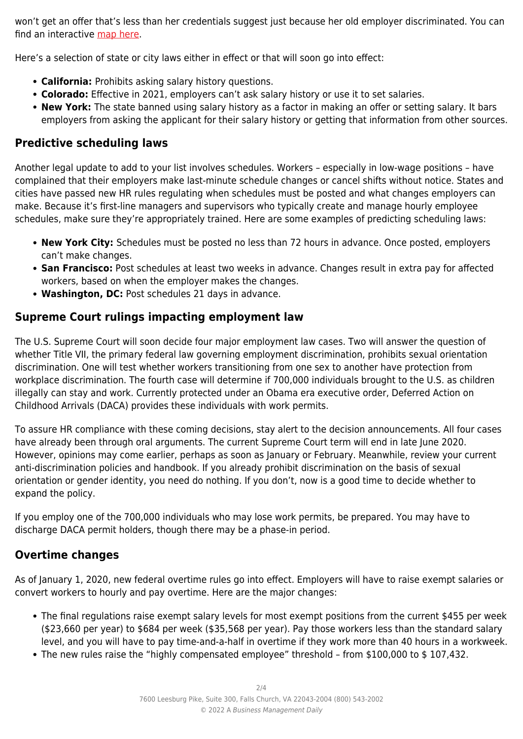won't get an offer that's less than her credentials suggest just because her old employer discriminated. You can find an interactive [map here](https://www.fisherphillips.com/equity).

Here's a selection of state or city laws either in effect or that will soon go into effect:

- **California:** Prohibits asking salary history questions.
- **Colorado:** Effective in 2021, employers can't ask salary history or use it to set salaries.
- **New York:** The state banned using salary history as a factor in making an offer or setting salary. It bars employers from asking the applicant for their salary history or getting that information from other sources.

# **Predictive scheduling laws**

Another legal update to add to your list involves schedules. Workers – especially in low-wage positions – have complained that their employers make last-minute schedule changes or cancel shifts without notice. States and cities have passed new HR rules regulating when schedules must be posted and what changes employers can make. Because it's first-line managers and supervisors who typically create and manage hourly employee schedules, make sure they're appropriately trained. Here are some examples of predicting scheduling laws:

- **New York City:** Schedules must be posted no less than 72 hours in advance. Once posted, employers can't make changes.
- **San Francisco:** Post schedules at least two weeks in advance. Changes result in extra pay for affected workers, based on when the employer makes the changes.
- **Washington, DC:** Post schedules 21 days in advance.

# **Supreme Court rulings impacting employment law**

The U.S. Supreme Court will soon decide four major employment law cases. Two will answer the question of whether Title VII, the primary federal law governing employment discrimination, prohibits sexual orientation discrimination. One will test whether workers transitioning from one sex to another have protection from workplace discrimination. The fourth case will determine if 700,000 individuals brought to the U.S. as children illegally can stay and work. Currently protected under an Obama era executive order, Deferred Action on Childhood Arrivals (DACA) provides these individuals with work permits.

To assure HR compliance with these coming decisions, stay alert to the decision announcements. All four cases have already been through oral arguments. The current Supreme Court term will end in late June 2020. However, opinions may come earlier, perhaps as soon as January or February. Meanwhile, review your current anti-discrimination policies and handbook. If you already prohibit discrimination on the basis of sexual orientation or gender identity, you need do nothing. If you don't, now is a good time to decide whether to expand the policy.

If you employ one of the 700,000 individuals who may lose work permits, be prepared. You may have to discharge DACA permit holders, though there may be a phase-in period.

## **Overtime changes**

As of January 1, 2020, new federal overtime rules go into effect. Employers will have to raise exempt salaries or convert workers to hourly and pay overtime. Here are the major changes:

- The final regulations raise exempt salary levels for most exempt positions from the current \$455 per week (\$23,660 per year) to \$684 per week (\$35,568 per year). Pay those workers less than the standard salary level, and you will have to pay time-and-a-half in overtime if they work more than 40 hours in a workweek.
- The new rules raise the "highly compensated employee" threshold from \$100,000 to \$ 107,432.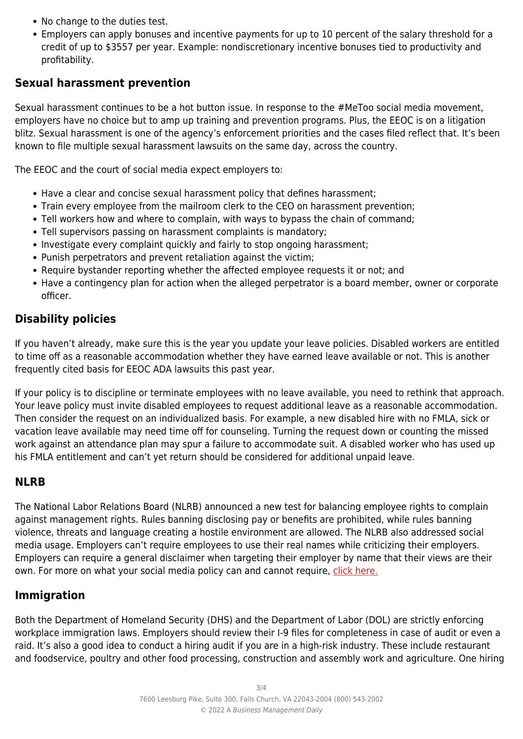- No change to the duties test.
- Employers can apply bonuses and incentive payments for up to 10 percent of the salary threshold for a credit of up to \$3557 per year. Example: nondiscretionary incentive bonuses tied to productivity and profitability.

#### **Sexual harassment prevention**

Sexual harassment continues to be a hot button issue. In response to the #MeToo social media movement, employers have no choice but to amp up training and prevention programs. Plus, the EEOC is on a litigation blitz. Sexual harassment is one of the agency's enforcement priorities and the cases filed reflect that. It's been known to file multiple sexual harassment lawsuits on the same day, across the country.

The EEOC and the court of social media expect employers to:

- Have a clear and concise sexual harassment policy that defines harassment;
- Train every employee from the mailroom clerk to the CEO on harassment prevention;
- Tell workers how and where to complain, with ways to bypass the chain of command;
- Tell supervisors passing on harassment complaints is mandatory;
- Investigate every complaint quickly and fairly to stop ongoing harassment;
- Punish perpetrators and prevent retaliation against the victim;
- Require bystander reporting whether the affected employee requests it or not; and
- Have a contingency plan for action when the alleged perpetrator is a board member, owner or corporate officer.

## **Disability policies**

If you haven't already, make sure this is the year you update your leave policies. Disabled workers are entitled to time off as a reasonable accommodation whether they have earned leave available or not. This is another frequently cited basis for EEOC ADA lawsuits this past year.

If your policy is to discipline or terminate employees with no leave available, you need to rethink that approach. Your leave policy must invite disabled employees to request additional leave as a reasonable accommodation. Then consider the request on an individualized basis. For example, a new disabled hire with no FMLA, sick or vacation leave available may need time off for counseling. Turning the request down or counting the missed work against an attendance plan may spur a failure to accommodate suit. A disabled worker who has used up his FMLA entitlement and can't yet return should be considered for additional unpaid leave.

#### **NLRB**

The National Labor Relations Board (NLRB) announced a new test for balancing employee rights to complain against management rights. Rules banning disclosing pay or benefits are prohibited, while rules banning violence, threats and language creating a hostile environment are allowed. The NLRB also addressed social media usage. Employers can't require employees to use their real names while criticizing their employers. Employers can require a general disclaimer when targeting their employer by name that their views are their own. For more on what your social media policy can and cannot require, [click here.](https://www.shrm.org/ResourcesAndTools/legal-and-compliance/employment-law/Documents/nlrb_advice_memo_social_media.pdf)

## **Immigration**

Both the Department of Homeland Security (DHS) and the Department of Labor (DOL) are strictly enforcing workplace immigration laws. Employers should review their I-9 files for completeness in case of audit or even a raid. It's also a good idea to conduct a hiring audit if you are in a high-risk industry. These include restaurant and foodservice, poultry and other food processing, construction and assembly work and agriculture. One hiring